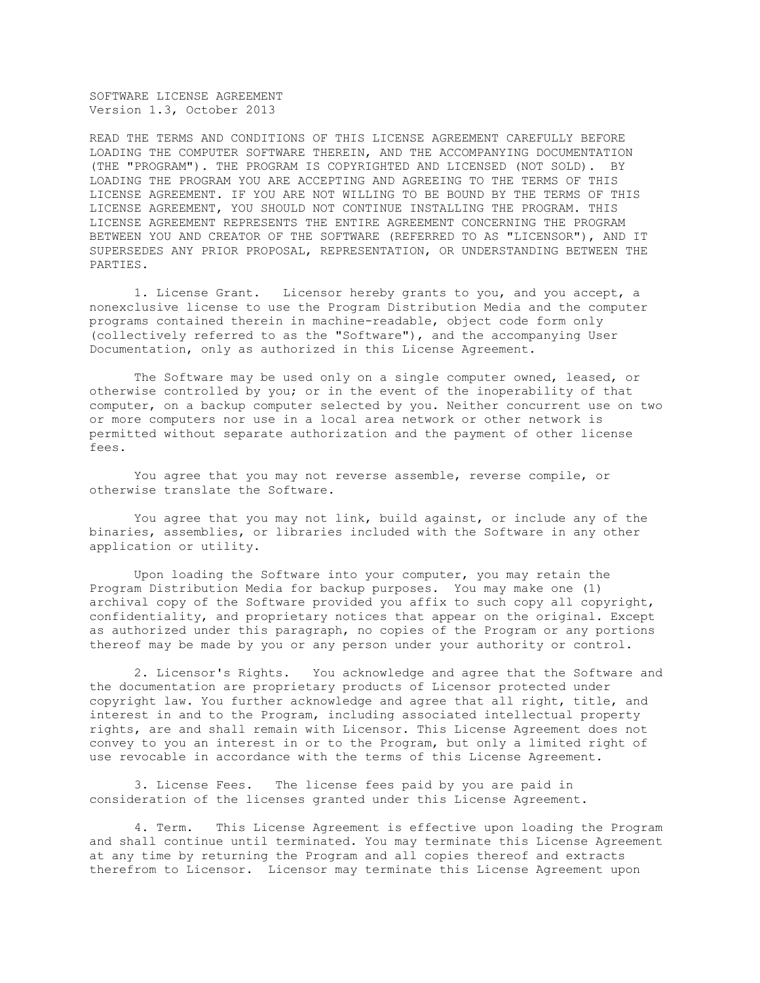SOFTWARE LICENSE AGREEMENT Version 1.3, October 2013

READ THE TERMS AND CONDITIONS OF THIS LICENSE AGREEMENT CAREFULLY BEFORE LOADING THE COMPUTER SOFTWARE THEREIN, AND THE ACCOMPANYING DOCUMENTATION (THE "PROGRAM"). THE PROGRAM IS COPYRIGHTED AND LICENSED (NOT SOLD). BY LOADING THE PROGRAM YOU ARE ACCEPTING AND AGREEING TO THE TERMS OF THIS LICENSE AGREEMENT. IF YOU ARE NOT WILLING TO BE BOUND BY THE TERMS OF THIS LICENSE AGREEMENT, YOU SHOULD NOT CONTINUE INSTALLING THE PROGRAM. THIS LICENSE AGREEMENT REPRESENTS THE ENTIRE AGREEMENT CONCERNING THE PROGRAM BETWEEN YOU AND CREATOR OF THE SOFTWARE (REFERRED TO AS "LICENSOR"), AND IT SUPERSEDES ANY PRIOR PROPOSAL, REPRESENTATION, OR UNDERSTANDING BETWEEN THE PARTIES.

1. License Grant. Licensor hereby grants to you, and you accept, a nonexclusive license to use the Program Distribution Media and the computer programs contained therein in machine-readable, object code form only (collectively referred to as the "Software"), and the accompanying User Documentation, only as authorized in this License Agreement.

The Software may be used only on a single computer owned, leased, or otherwise controlled by you; or in the event of the inoperability of that computer, on a backup computer selected by you. Neither concurrent use on two or more computers nor use in a local area network or other network is permitted without separate authorization and the payment of other license fees.

You agree that you may not reverse assemble, reverse compile, or otherwise translate the Software.

You agree that you may not link, build against, or include any of the binaries, assemblies, or libraries included with the Software in any other application or utility.

Upon loading the Software into your computer, you may retain the Program Distribution Media for backup purposes. You may make one (1) archival copy of the Software provided you affix to such copy all copyright, confidentiality, and proprietary notices that appear on the original. Except as authorized under this paragraph, no copies of the Program or any portions thereof may be made by you or any person under your authority or control.

2. Licensor's Rights. You acknowledge and agree that the Software and the documentation are proprietary products of Licensor protected under copyright law. You further acknowledge and agree that all right, title, and interest in and to the Program, including associated intellectual property rights, are and shall remain with Licensor. This License Agreement does not convey to you an interest in or to the Program, but only a limited right of use revocable in accordance with the terms of this License Agreement.

3. License Fees. The license fees paid by you are paid in consideration of the licenses granted under this License Agreement.

4. Term. This License Agreement is effective upon loading the Program and shall continue until terminated. You may terminate this License Agreement at any time by returning the Program and all copies thereof and extracts therefrom to Licensor. Licensor may terminate this License Agreement upon